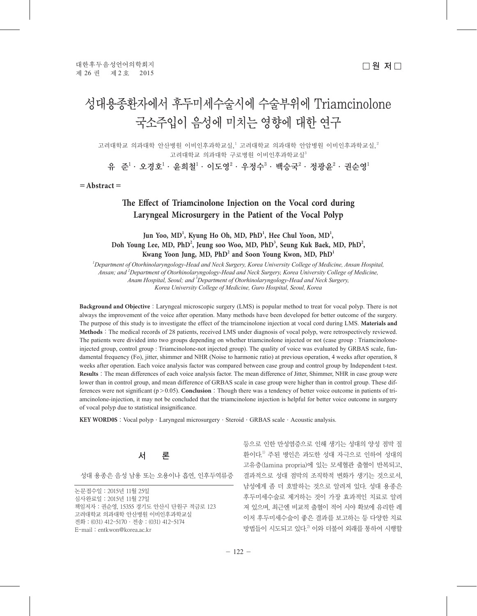# 성대용종환자에서 후두미세수술시에 수술부위에 Triamcinolone 국소주입이 음성에 미치는 영향에 대한 연구

고려대학교 의과대학 안산병원 이비인후과학교실,<sup>1</sup> 고려대학교 의과대학 안암병원 이비인후과학교실,<sup>2</sup> 고려대학교 의과대학 구로병원 이비인후과학교실

유 준 $^1\cdot$  오경호 $^1\cdot$  윤희철 $^1\cdot$  이도영 $^2\cdot$  우정수 $^3\cdot$  백승국 $^2\cdot$  정광윤 $^2\cdot$  권순영 $^1$ 

 $=$ **Abstract** $=$ 

# **The Effect of Triamcinolone Injection on the Vocal cord during Laryngeal Microsurgery in the Patient of the Vocal Polyp**

Jun Yoo, MD<sup>1</sup>, Kyung Ho Oh, MD, PhD<sup>1</sup>, Hee Chul Yoon, MD<sup>1</sup>, Doh Young Lee, MD, PhD<sup>2</sup>, Jeung soo Woo, MD, PhD<sup>3</sup>, Seung Kuk Baek, MD, PhD<sup>2</sup>, **Kwang Yoon Jung, MD, PhD<sup>2</sup> and Soon Young Kwon, MD, PhD<sup>1</sup>**

*1 Department of Otorhinolaryngology-Head and Neck Surgery, Korea University College of Medicine, Ansan Hospital, Ansan; and 2 Department of Otorhinolaryngology-Head and Neck Surgery, Korea University College of Medicine, Anam Hospital, Seoul; and 3 Department of Otorhinolaryngology-Head and Neck Surgery, Korea University College of Medicine, Guro Hospital, Seoul, Korea*

**Background and Objective**:Laryngeal microscopic surgery (LMS) is popular method to treat for vocal polyp. There is not always the improvement of the voice after operation. Many methods have been developed for better outcome of the surgery. The purpose of this study is to investigate the effect of the triamcinolone injection at vocal cord during LMS. **Materials and Methods**:The medical records of 28 patients, received LMS under diagnosis of vocal polyp, were retrospectively reviewed. The patients were divided into two groups depending on whether triamcinolone injected or not (case group : Triamcinoloneinjected group, control group : Triamcinolone-not injected group). The quality of voice was evaluated by GRBAS scale, fundamental frequency (Fo), jitter, shimmer and NHR (Noise to harmonic ratio) at previous operation, 4 weeks after operation, 8 weeks after operation. Each voice analysis factor was compared between case group and control group by Independent t-test. **Results**:The mean differences of each voice analysis factor. The mean difference of Jitter, Shimmer, NHR in case group were lower than in control group, and mean difference of GRBAS scale in case group were higher than in control group. These differences were not significant  $(p>0.05)$ . **Conclusion**: Though there was a tendency of better voice outcome in patients of triamcinolone-injection, it may not be concluded that the triamcinolone injection is helpful for better voice outcome in surgery of vocal polyp due to statistical insignificance.

KEY WORD0S: Vocal polyp · Laryngeal microsurgery · Steroid · GRBAS scale · Acoustic analysis.



성대 용종은 음성 남용 또는 오용이나 흡연, 인후두역류증

논문접수일:2015년 11월 25일 심사완료일:2015년 11월 27일 책임저자:권순영, 15355 경기도 안산시 단원구 적금로 123 고려대학교 의과대학 안산병원 이비인후과학교실 전화:(031) 412-5170·전송:(031) 412-5174 E-mail:entkwon@korea.ac.kr

등으로 인한 만성염증으로 인해 생기는 성대의 양성 점막 질 환이다. 1) 주된 병인은 과도한 성대 자극으로 인하여 성대의 고유층(lamina propria)에 있는 모세혈관 출혈이 반복되고, 결과적으로 성대 점막의 조직학적 변화가 생기는 것으로서, 남성에게 좀 더 호발하는 것으로 알려져 있다. 성대 용종은 후두미세수술로 제거하는 것이 가장 효과적인 치료로 알려 져 있으며, 최근엔 비교적 출혈이 적어 시야 확보에 유리한 레 이저 후두미세수술이 좋은 결과를 보고하는 등 다양한 치료 방법들이 시도되고 있다. 2) 이와 더불어 외래를 통하여 시행할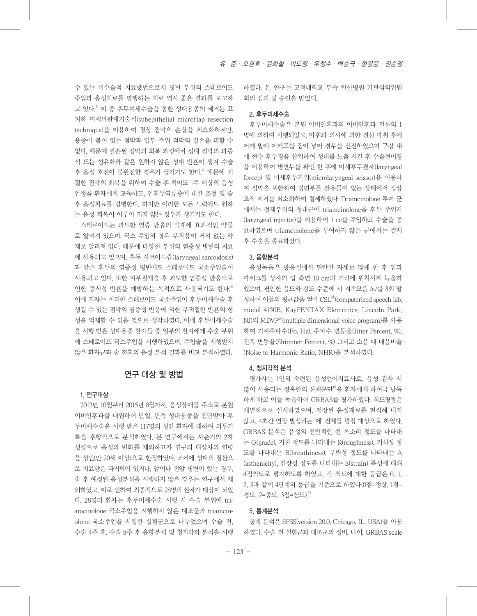수 있는 비수술적 치료방법으로서 병변 부위의 스테로이드 주입과 음성치료를 병행하는 치료 역시 좋은 결과를 보고하 고 있다.<sup>3</sup> 이 중 후두미세수술을 통한 성대용종의 제거는 표 피하 미세피판제거술식(subepithelial microflap resection technique)을 이용하여 정상 점막의 손상을 최소화하지만, 용종이 붙어 있는 점막과 일부 주위 점막의 결손을 피할 수 없다. 때문에 결손된 점막의 회복 과정에서 성대 점막의 과증 식 또는 섬유화와 같은 원하지 않은 성대 반흔이 생겨 수술 후 음성 호전이 불완전한 경우가 생기기도 한다.<sup>4)</sup> 때문에 적 절한 점막의 회복을 위하여 수술 후 적어도 1주 이상의 음성 안정을 환자에게 교육하고, 인후두역류증에 대한 조절 및 술 후 음성치료를 병행한다. 하지만 이러한 모든 노력에도 원하 는 음성 회복이 이루어 지지 않는 경우가 생기기도 한다.

스테로이드는 과도한 염증 반응의 억제에 효과적인 약물 로 알려져 있으며, 국소 주입의 경우 부작용이 거의 없는 약 제로 알려져 있다. 때문에 다양한 부위의 염증성 병변의 치료 에 사용되고 있으며, 후두 사코이드증(laryngeal sarcoidosis) 과 같은 후두의 염증성 병변에도 스테로이드 국소주입술이 사용되고 있다. 또한 피부절개술 후 과도한 염증성 반응으로 인한 증식성 반흔을 예방하는 목적으로 사용되기도 한다. 5) 이에 저자는 이러한 스테로이드 국소주입이 후두미세수술 후 생길 수 있는 점막의 염증성 반응에 의한 부적절한 반흔의 형 성을 억제할 수 있을 것으로 생각하였다. 이에 후두미세수술 을 시행 받은 성대용종 환자들 중 일부의 환자에게 수술 부위 에 스테로이드 국소주입을 시행하였으며, 주입술을 시행받지 않은 환자군과 술 전후의 음성 분석 결과를 비교 분석하였다.

# 연구 대상 및 방법

#### 1. 연구대상

2013년 10월부터 2015년 8월까지, 음성장애를 주소로 본원 이비인후과를 내원하여 단일, 편측 성대용종을 진단받아 후 두미세수술을 시행 받은 117명의 성인 환자에 대하여 의무기 록을 후향적으로 분석하였다. 본 연구에서는 사춘기의 2차 성징으로 음성의 변화를 제외하고자 연구의 대상자의 연령 을 성인(만 20세 이상)으로 한정하였다. 과거에 성대의 질환으 로 치료받은 과거력이 있거나, 암이나 전암 병변이 있는 경우, 술 후 예정된 음성분석을 시행하지 않은 경우는 연구에서 제 외하였고, 이로 인하여 최종적으로 28명의 환자가 대상이 되었 다. 28명의 환자는 후두미세수술 시행 시 수술 부위에 triamcinolone 국소주입을 시행하지 않은 대조군과 triamcinolone 국소주입을 시행한 실험군으로 나누었으며 수술 전, 수술 4주 후, 수술 8주 후 음향분석 및 청지각적 분석을 시행 하였다. 본 연구는 고려대학교 부속 안산병원 기관심의위원 회의 심의 및 승인을 받았다.

#### 2. 후두미세수술

후두미세수술은 본원 이비인후과의 이비인후과 전문의 1 명에 의하여 시행되었고, 마취과 의사에 의한 전신 마취 후에 어깨 밑에 어깨포를 집어 넣어 경부를 신전하였으며 구강 내 에 현수 후두경을 삽입하여 성대를 노출 시킨 후 수술현미경 을 이용하여 병변부를 확인 한 후에 미세후두겸자(laryngeal forcep) 및 미세후두가위(microlaryngeal scissor)을 이용하 여 점막을 포함하여 병변부를 잔유물이 없는 상태에서 정상 조직 제거를 최소화하여 절제하였다. Triamcinolone 투여 군 에서는 절제부위의 성대근에 triamcinolone을 후두 주입기 (laryngeal injector)를 이용하여 1 cc를 주입하고 수술을 종 료하였으며 triamcinolone을 투여하지 않은 군에서는 절제 후 수술을 종료하였다.

#### 3. 음향분석

음성녹음은 방음실에서 편안한 자세로 앉게 한 후 입과 마이크를 상자의 입 측면 10 cm의 거리에 위치시켜 녹음하 였으며, 편안한 음도와 강도 수준에 서 지속모음 /a/를 3회 발 성하여 이들의 평균값을 얻어 CSL<sup>®</sup>(computerized speech lab, model 4150B, KayPENTAX Elemetrics, Lincoln Park, NJ)의 MDVPⓇ(multiple dimensional voice program)를 사용 하여 기저주파수(Fo, Hz), 주파수 변동율(Jitter Percent, %), 진폭 변동율(Shimmer Percent, %) 그리고 소음 대 배음비율 (Noise to Harmonic Ratio, NHR)을 분석하였다.

## 4. 청지각적 분석

평가자는 1인의 숙련된 음성언어치료사로, 음성 검사 시 많이 사용되는 정옥란의 산책문단<sup>6)</sup>을 환자에게 하여금 낭독 하게 하고 이를 녹음하여 GRBAS를 평가하였다. 척도평정은 개별적으로 실시하였으며, 저장된 음성재료를 편집해 내지 않고, 4초간 연장 발성되는 '에' 전체를 평정 대상으로 하였다. GRBAS 분석은 음성의 전반적인 쉰 목소리 정도를 나타내 는 G(grade), 거친 정도를 나타내는 R(roughness), 기식성 정 도를 나타내는 B(breathiness), 무력성 정도를 나타내는 A (asthenicity), 긴장성 정도를 나타내는 S(strain) 특성에 대해 4점척도로 평가하도록 하였고, 각 척도에 대한 등급은 0, 1, 2, 3과 같이 4단계의 등급을 기준으로 하였다(0점=정상, 1점= 경도, 2=중도, 3점=심도). 7)

## 5. 통계분석

통계 분석은 SPSS(version 20.0, Chicago, IL, USA)를 이용 하였다. 수술 전 실험군과 대조군의 성비, 나이, GRBAS scale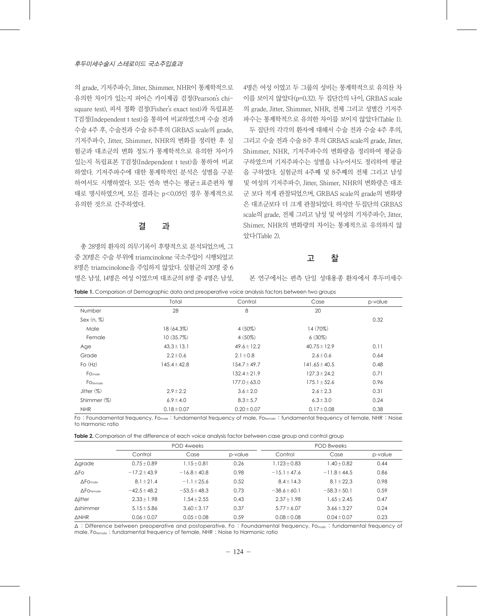의 grade, 기저주파수, Jitter, Shimmer, NHR이 통계학적으로 유의한 차이가 있는지 피어슨 카이제곱 검정(Pearson's chisquare test), 피셔 정확 검정(Fisher's exact test)과 독립표본 T검정(Independent t test)을 통하여 비교하였으며 수술 전과 수술 4주 후, 수술전과 수술 8주후의 GRBAS scale의 grade, 기저주파수, Jitter, Shimmer, NHR의 변화를 정리한 후 실 험군과 대조군의 변화 정도가 통계학적으로 유의한 차이가 있는지 독립표본 T검정(Independent t test)을 통하여 비교 하였다. 기저주파수에 대한 통계학적인 분석은 성별을 구분 하여서도 시행하였다. 모든 연속 변수는 평균±표준편차 형 태로 명시하였으며, 모든 결과는 p<0.05인 경우 통계적으로 유의한 것으로 간주하였다.

# 결 과

총 28명의 환자의 의무기록이 후향적으로 분석되었으며, 그 중 20명은 수술 부위에 triamcinolone 국소주입이 시행되었고 8명은 triamcinolone을 주입하지 않았다. 실험군의 20명 중 6 명은 남성, 14명은 여성 이였으며 대조군의 8명 중 4명은 남성, 4명은 여성 이였고 두 그룹의 성비는 통계학적으로 유의찬 차 이를 보이지 않았다(p=0.32). 두 집단간의 나이, GRBAS scale 의 grade, Jitter, Shimmer, NHR, 전체 그리고 성별간 기저주 파수는 통계학적으로 유의한 차이를 보이지 않았다(Table 1). 두 집단의 각각의 환자에 대해서 수술 전과 수술 4주 후의,

그리고 수술 전과 수술 8주 후의 GRBAS scale의 grade, Jitter, Shimmer, NHR, 기저주파수의 변화량을 정리하여 평균을 구하였으며 기저주파수는 성별을 나누어서도 정리하여 평균 을 구하였다. 실험군의 4주째 및 8주째의 전체 그리고 남성 및 여성의 기저주파수, Jitter, Shimer, NHR의 변화량은 대조 군 보다 적게 관찰되었으며, GRBAS scale의 grade의 변화량 은 대조군보다 더 크게 관찰되었다. 하지만 두집단의 GRBAS scale의 grade, 전체 그리고 남성 및 여성의 기저주파수, Jitter, Shimer, NHR의 변화량의 차이는 통계적으로 유의하지 않 았다(Table 2).

## 고 찰

본 연구에서는 편측 단일 성대용종 환자에서 후두미세수

|  |  |  | <b>Table 1.</b> Comparison of Demographic data and preoperative voice analysis factors between two groups |  |  |
|--|--|--|-----------------------------------------------------------------------------------------------------------|--|--|
|--|--|--|-----------------------------------------------------------------------------------------------------------|--|--|

|                        | Total            | Control          | Case              | p-value |
|------------------------|------------------|------------------|-------------------|---------|
| Number                 | 28               | 8                | 20                |         |
| Sex $(n, \mathcal{R})$ |                  |                  |                   | 0.32    |
| Male                   | 18 (64.3%)       | $4(50\%)$        | 14 (70%)          |         |
| Female                 | 10 (35.7%)       | $4(50\%)$        | $6(30\%)$         |         |
| Age                    | $43.3 \pm 13.1$  | $49.6 \pm 12.2$  | $40.75 \pm 12.9$  | 0.11    |
| Grade                  | $2.2 \pm 0.6$    | $2.1 \pm 0.8$    | $2.6 \pm 0.6$     | 0.64    |
| Fo(Hz)                 | $145.4 \pm 42.8$ | $154.7 \pm 49.7$ | $141.65 \pm 40.5$ | 0.48    |
| FO <sub>male</sub>     |                  | $132.4 \pm 21.9$ | $127.3 \pm 24.2$  | 0.71    |
| FOfemale               |                  | $177.0 \pm 63.0$ | $175.1 \pm 52.6$  | 0.96    |
| Jitter $(\%)$          | $2.9 \pm 2.2$    | $3.6 \pm 2.0$    | $2.6 \pm 2.3$     | 0.31    |
| Shimmer (%)            | $6.9 \pm 4.0$    | $8.3 \pm 5.7$    | $6.3 \pm 3.0$     | 0.24    |
| <b>NHR</b>             | $0.18 \pm 0.07$  | $0.20 \pm 0.07$  | $0.17 \pm 0.08$   | 0.38    |

Fo : Foundamental frequency, Fo<sub>male</sub> : fundamental frequency of male, Fo<sub>female</sub> : fundamental frequency of female, NHR : Noise to Harmonic ratio

| <b>Table 2.</b> Comparison of the difference of each voice analysis factor between case group and control group |  |  |  |  |  |  |
|-----------------------------------------------------------------------------------------------------------------|--|--|--|--|--|--|
|-----------------------------------------------------------------------------------------------------------------|--|--|--|--|--|--|

|                               | POD 4weeks       |                  |         | POD 8weeks       |                  |         |
|-------------------------------|------------------|------------------|---------|------------------|------------------|---------|
|                               | Control          | Case             | p-value | Control          | Case             | p-value |
| ∆grade                        | $0.75 \pm 0.89$  | $1.15 \pm 0.81$  | 0.26    | $1.123 \pm 0.83$ | $1.40 \pm 0.82$  | 0.44    |
| $\Delta$ Fo                   | $-17.2 \pm 43.9$ | $-16.8 \pm 40.8$ | 0.98    | $-15.1 \pm 47.6$ | $-11.8 \pm 44.5$ | 0.86    |
| $\Delta$ FO <sub>male</sub>   | $8.1 \pm 21.4$   | $-1.1 \pm 25.6$  | 0.52    | $8.4 \pm 14.3$   | $8.1 \pm 22.3$   | 0.98    |
| $\Delta$ FO <sub>female</sub> | $-42.5 \pm 48.2$ | $-53.5 \pm 48.3$ | 0.73    | $-38.6 \pm 60.1$ | $-58.3 \pm 50.1$ | 0.59    |
| $\Delta$ jitter               | $2.33 \pm 1.98$  | $1.54 \pm 2.55$  | 0.43    | $2.37 \pm 1.98$  | $1.65 \pm 2.45$  | 0.47    |
| <b>Ashimmer</b>               | $5.15 \pm 5.86$  | $3.60 \pm 3.17$  | 0.37    | $5.77 \pm 6.07$  | $3.66 \pm 3.27$  | 0.24    |
| <b>ANHR</b>                   | $0.06 \pm 0.07$  | $0.05 \pm 0.08$  | 0.59    | $0.08 \pm 0.08$  | $0.04 \pm 0.07$  | 0.23    |

 $\overline{\Delta}$  : Difference between preoperative and postoperative, Fo : Foundamental frequency, Fo<sub>male</sub> : fundamental frequency of male, Fofemale : fundamental frequency of female, NHR : Noise to Harmonic ratio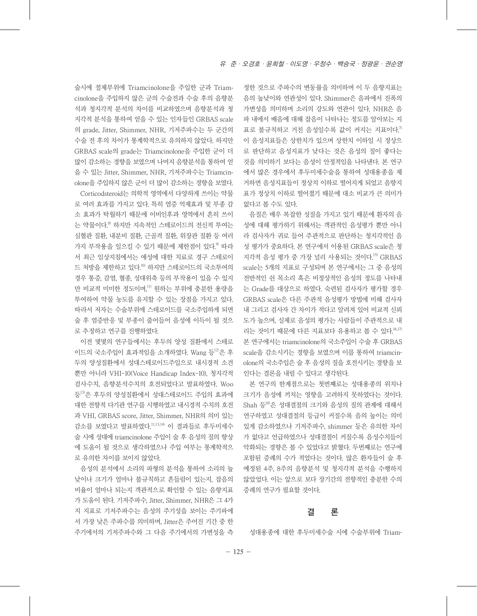술시에 절제부위에 Triamcinolone을 주입한 군과 Triamcinolone을 주입하지 않은 군의 수술전과 수술 후의 음향분 석과 청지각적 분석의 차이를 비교하였으며 음향분석과 청 지각적 분석을 통하여 얻을 수 있는 인자들인 GRBAS scale 의 grade, Jitter, Shimmer, NHR, 기저주파수는 두 군간의 수술 전 후의 차이가 통계학적으로 유의하지 않았다. 하지만 GRBAS scale의 grade는 Triamcinolone을 주입한 군이 더 많이 감소하는 경향을 보였으며 나머지 음향분석을 통하여 얻 을 수 있는 Jitter, Shimmer, NHR, 기저주파수는 Triamcinolone을 주입하지 않은 군이 더 많이 감소하는 경향을 보였다.

Corticodsteroid는 의학적 영역에서 다양하게 쓰이는 약물 로 여러 효과를 가지고 있다. 특히 염증 억제효과 및 부종 감 소 효과가 탁월하기 때문에 이비인후과 영역에서 흔히 쓰이 는 약물이다. 8) 하지만 지속적인 스테로이드의 전신적 투여는 심혈관 질환, 내분비 질환, 근골격 질환, 위장관 질환 등 여러 가지 부작용을 일으킬 수 있기 때문에 제한점이 있다.<sup>9</sup> 따라 서 최근 임상지침에서는 애성에 대한 치료로 경구 스테로이 드 처방을 제한하고 있다.<sup>10)</sup> 하지만 스테로이드의 국소투여의 경우 통증, 감염, 혈종, 성대위축 등의 부작용이 있을 수 있지 만 비교적 미미한 정도이며, 11) 원하는 부위에 충분한 용량을 투여하여 약물 농도를 유지할 수 있는 장점을 가지고 있다. 따라서 저자는 수술부위에 스테로이드를 국소주입하게 되면 술 후 염증반응 및 부종이 줄어들어 음성에 이득이 될 것으 로 추정하고 연구를 진행하였다.

이전 몇몇의 연구들에서는 후두의 양성 질환에서 스테로 이드의 국소주입이 효과적임을 소개하였다. Wang 등<sup>12)</sup>은 후 두의 양성질환에서 성대스테로이드주입으로 내시경적 소견 뿐만 아니라 VHI-10(Voice Handicap Index-10), 청지각적 검사수치, 음향분석수치의 호전되었다고 발표하였다. Woo 등<sup>13)</sup>은 후두의 양성질환에서 성대스테로이드 주입의 효과에 대한 전향적 다기관 연구를 시행하였고 내시경적 수치의 호전 과 VHI, GRBAS score, Jitter, Shimmer, NHR의 의미 있는 감소를 보였다고 발표하였다. 11,13,14) 이 결과들로 후두미세수 술 시에 성대에 triamcinolone 주입이 술 후 음성의 질의 향상 에 도움이 될 것으로 생각하였으나 주입 여부는 통계학적으 로 유의한 차이를 보이지 않았다.

음성의 분석에서 소리의 파형의 분석을 통하여 소리의 높 낮이나 크기가 얼마나 불규칙하고 흔들림이 있는지, 잡음의 비율이 얼마나 되는지 객관적으로 확인할 수 있는 음향지표 가 도움이 된다. 기저주파수, Jitter, Shimmer, NHR은 그 4가 지 지표로 기저주파수는 음성의 주기성을 보이는 주기파에 서 가장 낮은 주파수를 의미하며, Jitter은 주어진 기간 중 한 주기에서의 기저주파수와 그 다음 주기에서의 가변성을 측

정한 것으로 주파수의 변동률을 의미하며 이 두 음향지표는 음의 높낮이와 연관성이 있다. Shimmer은 음파에서 진폭의 가변성을 의미하며 소리의 강도와 연관이 있다. NHR은 음 파 내에서 배음에 대해 잡음이 나타나는 정도를 알아보는 지 표로 불규칙하고 거친 음성일수록 값이 커지는 지표이다.<sup>7)</sup> 이 음성지표들은 상한치가 있으며 상한치 이하일 시 정상으 로 판단하고 음성지표가 낮다는 것은 음성의 질이 좋다는 것을 의미하기 보다는 음성이 안정적임을 나타낸다. 본 연구 에서 많은 경우에서 후두미세수술을 통하여 성대용종을 제 거하면 음성지표들이 정상치 이하로 떨어지게 되었고 음향지 표가 정상치 이하로 떨어졌기 때문에 대소 비교가 큰 의미가 없다고 볼 수도 있다.

음질은 매우 복잡한 성질을 가지고 있기 때문에 환자의 음 성에 대해 평가하기 위해서는 객관적인 음성평가 뿐만 아니 라 검사자가 귀로 들어 주관적으로 판단하는 청지각적인 음 성 평가가 중요하다. 본 연구에서 이용된 GRBAS scale은 청 지각적 음성 평가 중 가장 널리 사용되는 것이다. 15) GRBAS scale는 5개의 지표로 구성되며 본 연구에서는 그 중 음성의 전반적인 쉰 목소리 혹은 비정상적인 음성의 정도를 나타내 는 Grade를 대상으로 하였다. 숙련된 검사자가 평가할 경우 GRBAS scale은 다른 주관적 음성평가 방법에 비해 검사자 내 그리고 검사자 간 차이가 적다고 알려져 있어 비교적 신뢰 도가 높으며, 실제로 음성의 평가는 사람들이 주관적으로 내 리는 것이기 때문에 다른 지표보다 유용하고 볼 수 있다. 16,17) 본 연구에서는 triamcinolone의 국소주입이 수술 후 GRBAS scale을 감소시키는 경향을 보였으며 이를 통하여 triamcinolone의 국소주입은 술 후 음성의 질을 호전시키는 경향을 보 인다는 결론을 내릴 수 있다고 생각된다.

본 연구의 한계점으로는 첫번째로는 성대용종의 위치나 크기가 음성에 끼치는 영향을 고려하지 못하였다는 것이다. Shah 등<sup>18</sup>은 성대결절의 크기와 음성의 질의 관계에 대해서 연구하였고 성대결절의 등급이 커질수록 음의 높이는 의미 있게 감소하였으나 기저주파수, shimmer 등은 유의한 차이 가 없다고 언급하였으나 성대결절이 커질수록 음성수치들이 악화되는 경향은 볼 수 있었다고 밝혔다. 두번째로는 연구에 포함된 증례의 수가 적었다는 것이다. 많은 환자들이 술 후 예정된 4주, 8주의 음향분석 및 청지각적 분석을 수행하지 않았었다. 이는 앞으로 보다 장기간의 전향적인 충분한 수의 증례의 연구가 필요할 것이다.

## 결 론

성대용종에 대한 후두미세수술 시에 수술부위에 Triam-